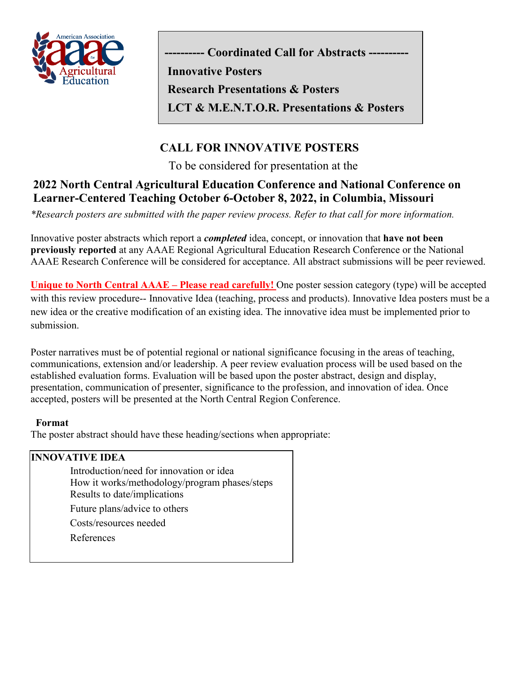

**-- Coordinated Call for Abstracts ---**

**Research Presentations & Posters**

**Innovative Posters**

**LCT & M.E.N.T.O.R. Presentations & Posters**

## **CALL FOR INNOVATIVE POSTERS**

To be considered for presentation at the

## **2022 North Central Agricultural Education Conference and National Conference on Learner-Centered Teaching October 6-October 8, 2022, in Columbia, Missouri**

*\*Research posters are submitted with the paper review process. Refer to that call for more information.* 

Innovative poster abstracts which report a *completed* idea, concept, or innovation that **have not been previously reported** at any AAAE Regional Agricultural Education Research Conference or the National AAAE Research Conference will be considered for acceptance. All abstract submissions will be peer reviewed.

**Unique to North Central AAAE – Please read carefully!** One poster session category (type) will be accepted with this review procedure-- Innovative Idea (teaching, process and products). Innovative Idea posters must be a new idea or the creative modification of an existing idea. The innovative idea must be implemented prior to submission.

Poster narratives must be of potential regional or national significance focusing in the areas of teaching, communications, extension and/or leadership. A peer review evaluation process will be used based on the established evaluation forms. Evaluation will be based upon the poster abstract, design and display, presentation, communication of presenter, significance to the profession, and innovation of idea. Once accepted, posters will be presented at the North Central Region Conference.

## **Format**

The poster abstract should have these heading/sections when appropriate:

## **INNOVATIVE IDEA** Introduction/need for innovation or idea How it works/methodology/program phases/steps Results to date/implications Future plans/advice to others Costs/resources needed References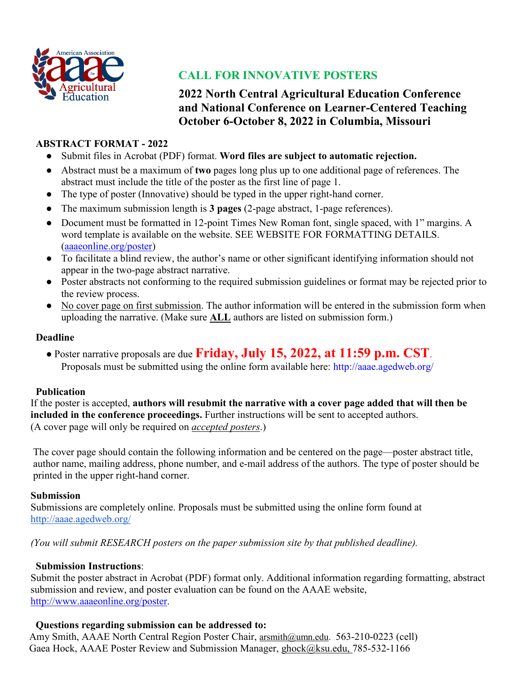

## **CALL FOR INNOVATIVE POSTERS**

**2022 North Central Agricultural Education Conference and National Conference on Learner-Centered Teaching October 6-October 8, 2022 in Columbia, Missouri**

## **ABSTRACT FORMAT - 2022**

- Submit files in Acrobat (PDF) format. **Word files are subject to automatic rejection.**
- Abstract must be a maximum of **two** pages long plus up to one additional page of references. The abstract must include the title of the poster as the first line of page 1.
- The type of poster (Innovative) should be typed in the upper right-hand corner.
- The maximum submission length is **3 pages** (2-page abstract, 1-page references).
- Document must be formatted in 12-point Times New Roman font, single spaced, with 1" margins. A word template is available on the website. SEE WEBSITE FOR FORMATTING DETAILS. [\(aaaeonline.org/poster\)](http://aaaeonline.org/poster)
- To facilitate a blind review, the author's name or other significant identifying information should not appear in the two-page abstract narrative.
- Poster abstracts not conforming to the required submission guidelines or format may be rejected prior to the review process.
- No cover page on first submission. The author information will be entered in the submission form when uploading the narrative. (Make sure **ALL** authors are listed on submission form.)

## **Deadline**

● Poster narrative proposals are due **Friday, July 15, 2022, at 11:59 p.m. CST**. Proposals must be submitted using the online form available here: http://aaae.agedweb.org/

## **Publication**

If the poster is accepted, **authors will resubmit the narrative with a cover page added that will then be included in the conference proceedings.** Further instructions will be sent to accepted authors. (A cover page will only be required on *accepted posters*.)

The cover page should contain the following information and be centered on the page—poster abstract title, author name, mailing address, phone number, and e-mail address of the authors. The type of poster should be printed in the upper right-hand corner.

## **Submission**

Submissions are completely online. Proposals must be submitted using the online form found at <http://aaae.agedweb.org/>

*(You will submit RESEARCH posters on the paper submission site by that published deadline).* 

## **Submission Instructions**:

Submit the poster abstract in Acrobat (PDF) format only. Additional information regarding formatting, abstract submission and review, and poster evaluation can be found on the AAAE website, [http://www.aaaeonline.org/poster.](http://www.aaaeonline.org/poster)

## **Questions regarding submission can be addressed to:**

Amy Smith, AAAE North Central Region Poster Chair, [arsmith@umn.edu.](mailto:arsmith@umn.edu) 563-210-0223 (cell) Gaea Hock, AAAE Poster Review and Submission Manager, [ghock@ksu.edu,](mailto:ghock@ksu.edu) 785-532-1166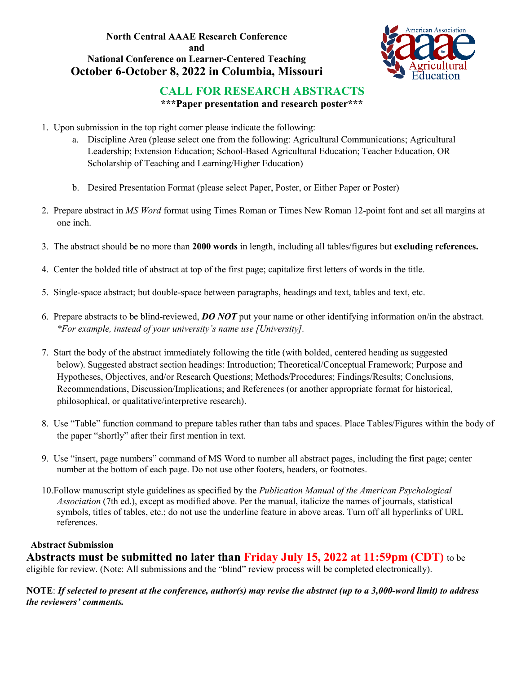## **North Central AAAE Research Conference and National Conference on Learner-Centered Teaching October 6-October 8, 2022 in Columbia, Missouri**



## **CALL FOR RESEARCH ABSTRACTS**

**\*\*\*Paper presentation and research poster\*\*\***

- 1. Upon submission in the top right corner please indicate the following:
	- a. Discipline Area (please select one from the following: Agricultural Communications; Agricultural Leadership; Extension Education; School-Based Agricultural Education; Teacher Education, OR Scholarship of Teaching and Learning/Higher Education)
	- b. Desired Presentation Format (please select Paper, Poster, or Either Paper or Poster)
- 2. Prepare abstract in *MS Word* format using Times Roman or Times New Roman 12-point font and set all margins at one inch.
- 3. The abstract should be no more than **2000 words** in length, including all tables/figures but **excluding references.**
- 4. Center the bolded title of abstract at top of the first page; capitalize first letters of words in the title.
- 5. Single-space abstract; but double-space between paragraphs, headings and text, tables and text, etc.
- 6. Prepare abstracts to be blind-reviewed, *DO NOT* put your name or other identifying information on/in the abstract. *\*For example, instead of your university's name use [University].*
- 7. Start the body of the abstract immediately following the title (with bolded, centered heading as suggested below). Suggested abstract section headings: Introduction; Theoretical/Conceptual Framework; Purpose and Hypotheses, Objectives, and/or Research Questions; Methods/Procedures; Findings/Results; Conclusions, Recommendations, Discussion/Implications; and References (or another appropriate format for historical, philosophical, or qualitative/interpretive research).
- 8. Use "Table" function command to prepare tables rather than tabs and spaces. Place Tables/Figures within the body of the paper "shortly" after their first mention in text.
- 9. Use "insert, page numbers" command of MS Word to number all abstract pages, including the first page; center number at the bottom of each page. Do not use other footers, headers, or footnotes.
- 10.Follow manuscript style guidelines as specified by the *Publication Manual of the American Psychological Association* (7th ed.), except as modified above. Per the manual, italicize the names of journals, statistical symbols, titles of tables, etc.; do not use the underline feature in above areas. Turn off all hyperlinks of URL references.

## **Abstract Submission**

**Abstracts must be submitted no later than Friday July 15, 2022 at 11:59pm (CDT)** to be eligible for review. (Note: All submissions and the "blind" review process will be completed electronically).

**NOTE**: *If selected to present at the conference, author(s) may revise the abstract (up to a 3,000-word limit) to address the reviewers' comments.*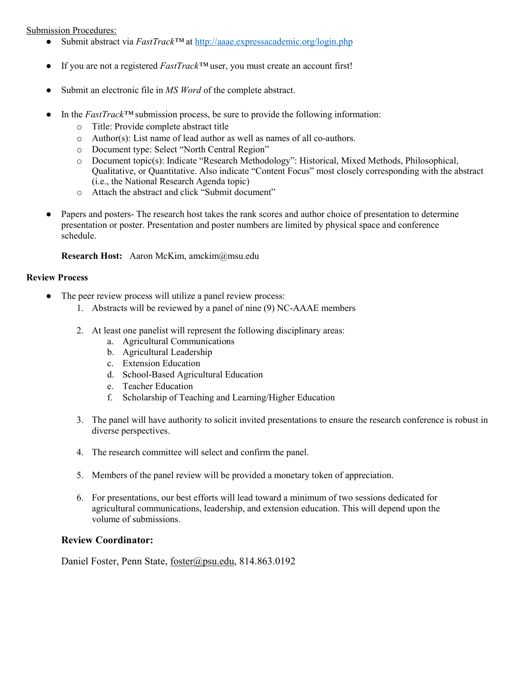#### Submission Procedures:

- Submit abstract via *FastTrack™* at <http://aaae.expressacademic.org/login.php>
- If you are not a registered *FastTrack™* user, you must create an account first!
- Submit an electronic file in *MS Word* of the complete abstract.
- In the  $FastTrack^{\text{TM}}$  submission process, be sure to provide the following information:
	- o Title: Provide complete abstract title
	- o Author(s): List name of lead author as well as names of all co-authors.
	- o Document type: Select "North Central Region"
	- o Document topic(s): Indicate "Research Methodology": Historical, Mixed Methods, Philosophical, Qualitative, or Quantitative. Also indicate "Content Focus" most closely corresponding with the abstract (i.e., the National Research Agenda topic)
	- o Attach the abstract and click "Submit document"
- Papers and posters- The research host takes the rank scores and author choice of presentation to determine presentation or poster. Presentation and poster numbers are limited by physical space and conference schedule.

#### **Research Host:** Aaron McKim, amckim@msu.edu

#### **Review Process**

- The peer review process will utilize a panel review process:
	- 1. Abstracts will be reviewed by a panel of nine (9) NC-AAAE members
	- 2. At least one panelist will represent the following disciplinary areas:
		- a. Agricultural Communications
		- b. Agricultural Leadership
		- c. Extension Education
		- d. School-Based Agricultural Education
		- e. Teacher Education
		- f. Scholarship of Teaching and Learning/Higher Education
	- 3. The panel will have authority to solicit invited presentations to ensure the research conference is robust in diverse perspectives.
	- 4. The research committee will select and confirm the panel.
	- 5. Members of the panel review will be provided a monetary token of appreciation.
	- 6. For presentations, our best efforts will lead toward a minimum of two sessions dedicated for agricultural communications, leadership, and extension education. This will depend upon the volume of submissions.

#### **Review Coordinator:**

Daniel Foster, Penn State, [foster@psu.edu,](mailto:foster@psu.edu) 814.863.0192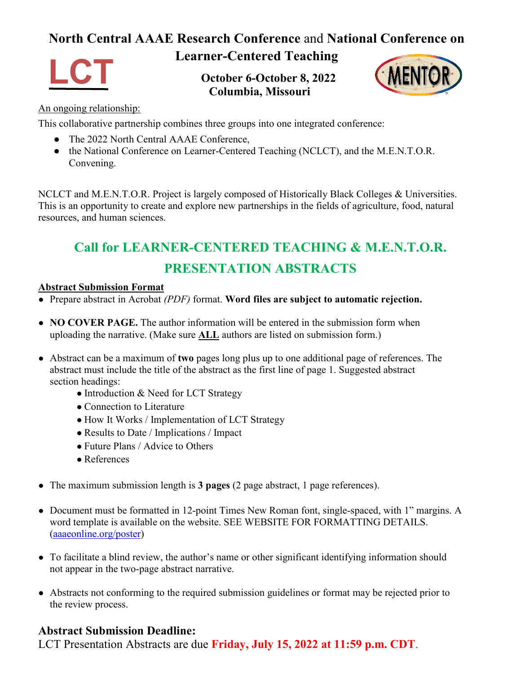## **North Central AAAE Research Conference** and **National Conference on**



## **Learner-Centered Teaching**

**October 6-October 8, 2022 Columbia, Missouri**



## An ongoing relationship:

This collaborative partnership combines three groups into one integrated conference:

- The 2022 North Central AAAE Conference,
- the National Conference on Learner-Centered Teaching (NCLCT), and the M.E.N.T.O.R. Convening.

NCLCT and M.E.N.T.O.R. Project is largely composed of Historically Black Colleges & Universities. This is an opportunity to create and explore new partnerships in the fields of agriculture, food, natural resources, and human sciences.

# **Call for LEARNER-CENTERED TEACHING & M.E.N.T.O.R. PRESENTATION ABSTRACTS**

## **Abstract Submission Format**

- Prepare abstract in Acrobat *(PDF)* format. **Word files are subject to automatic rejection.**
- **NO COVER PAGE.** The author information will be entered in the submission form when uploading the narrative. (Make sure **ALL** authors are listed on submission form.)
- Abstract can be a maximum of **two** pages long plus up to one additional page of references. The abstract must include the title of the abstract as the first line of page 1. Suggested abstract section headings:
	- Introduction & Need for LCT Strategy
	- Connection to Literature
	- How It Works / Implementation of LCT Strategy
	- Results to Date / Implications / Impact
	- Future Plans / Advice to Others
	- References
- The maximum submission length is **3 pages** (2 page abstract, 1 page references).
- Document must be formatted in 12-point Times New Roman font, single-spaced, with 1" margins. A word template is available on the website. SEE WEBSITE FOR FORMATTING DETAILS. [\(aaaeonline.org/poster\)](http://aaaeonline.org/poster)
- To facilitate a blind review, the author's name or other significant identifying information should not appear in the two-page abstract narrative.
- Abstracts not conforming to the required submission guidelines or format may be rejected prior to the review process.

## **Abstract Submission Deadline:**

LCT Presentation Abstracts are due **Friday, July 15, 2022 at 11:59 p.m. CDT**.